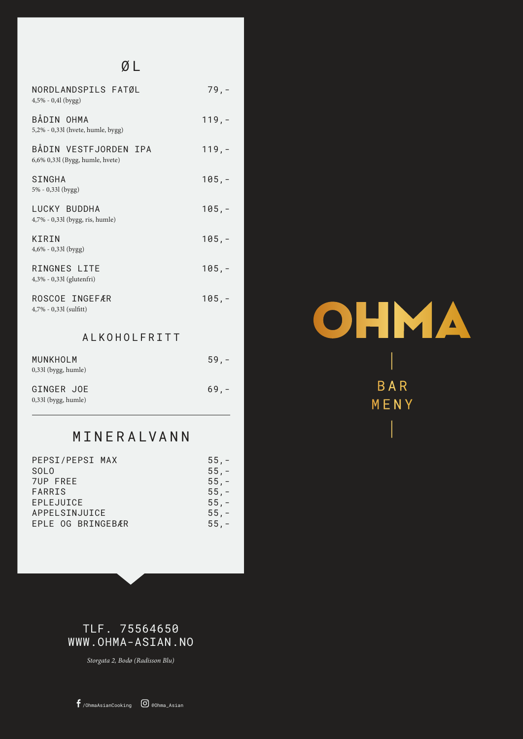# Ø L

| NORDLANDSPILS FATØL<br>$4,5% - 0,4$ l (bygg)             | $79, -$  |
|----------------------------------------------------------|----------|
| BÅDIN OHMA<br>5,2% - 0,33l (hvete, humle, bygg)          | $119, -$ |
| BÅDIN VESTFJORDEN IPA<br>6,6% 0,33l (Bygg, humle, hvete) | $119, -$ |
| SINGHA<br>5% - 0,33l (bygg)                              | $105, -$ |
| LUCKY BUDDHA<br>4,7% - 0,33l (bygg, ris, humle)          | $105, -$ |
| KIRIN<br>4,6% - 0,33l (bygg)                             | $105, -$ |
| RINGNES LITE<br>4,3% - 0,33l (glutenfri)                 | $105, -$ |
| ROSCOE INGEFÆR<br>4,7% - 0,33l (sulfitt)                 | $105, -$ |
| ALKOHOLFRITT                                             |          |
| MUNKHOLM<br>0,33l (bygg, humle)                          | $59, -$  |
| GINGER JOE                                               | $69, -$  |

0,33l (bygg, humle)

# MINERALVANN

| PEPSI/PEPSI MAX   | $55, -$ |
|-------------------|---------|
| SOL <sub>0</sub>  | $55, -$ |
| <b>7UP FREE</b>   | $55, -$ |
| <b>FARRIS</b>     | $55, -$ |
| EPLEJUICE         | $55, -$ |
| APPELSINJUICE     | $55, -$ |
| EPLE OG BRINGEBÆR | $55, -$ |
|                   |         |



TLF. 75564650 WWW.OHMA-ASIAN.NO

*Storgata 2, Bodø (Radisson Blu)*